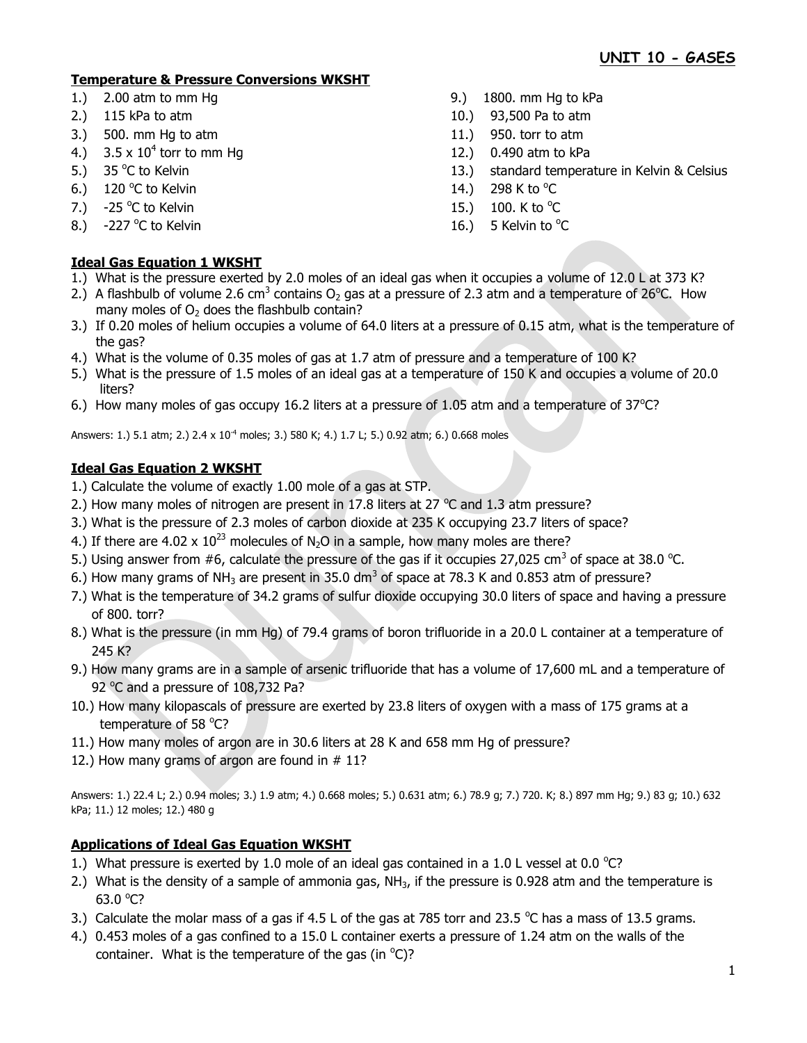# **Temperature & Pressure Conversions WKSHT**

- 1.) 2.00 atm to mm Hg 9. atm to mm Hg 5.00 atm to mm Hg to kPa
- 2.) 115 kPa to atm 10.) 93,500 Pa to atm
- 3.) 500. mm Hg to atm 11.) 950. torr to atm
- 4.)  $3.5 \times 10^4$  torr to mm Hg
- 5.)  $35^{\circ}$ C to Kelvin
- 6.) 120 °C to Kelvin  $14.$ ) 298 K to  $^{\circ}$
- 7.)  $-25\degree$ C to Kelvin  $15.$ )  $100.$  K to  $\degree$
- 8.)  $-227$  °C to Kelvin C to Kelvin  $\sim$  2008  $\sim$  16.) 5 Kelvin to  $^{\circ}$ C

# **Ideal Gas Equation 1 WKSHT**

- 1.) What is the pressure exerted by 2.0 moles of an ideal gas when it occupies a volume of 12.0 L at 373 K?
- 2.) A flashbulb of volume 2.6 cm<sup>3</sup> contains O<sub>2</sub> gas at a pressure of 2.3 atm and a temperature of 26<sup>o</sup>C. How many moles of  $O<sub>2</sub>$  does the flashbulb contain?
- 3.) If 0.20 moles of helium occupies a volume of 64.0 liters at a pressure of 0.15 atm, what is the temperature of the gas?

12.) 0.490 atm to kPa

298 K to  $^{\circ}$ C

100. K to  $^{\circ}$ C

13.) standard temperature in Kelvin & Celsius

- 4.) What is the volume of 0.35 moles of gas at 1.7 atm of pressure and a temperature of 100 K?
- 5.) What is the pressure of 1.5 moles of an ideal gas at a temperature of 150 K and occupies a volume of 20.0 liters?
- 6.) How many moles of gas occupy 16.2 liters at a pressure of 1.05 atm and a temperature of  $37^{\circ}$ C?

Answers: 1.) 5.1 atm; 2.) 2.4 x 10<sup>-4</sup> moles; 3.) 580 K; 4.) 1.7 L; 5.) 0.92 atm; 6.) 0.668 moles

## **Ideal Gas Equation 2 WKSHT**

- 1.) Calculate the volume of exactly 1.00 mole of a gas at STP.
- 2.) How many moles of nitrogen are present in 17.8 liters at 27  $^{\circ}$ C and 1.3 atm pressure?
- 3.) What is the pressure of 2.3 moles of carbon dioxide at 235 K occupying 23.7 liters of space?
- 4.) If there are 4.02 x  $10^{23}$  molecules of N<sub>2</sub>O in a sample, how many moles are there?
- 5.) Using answer from #6, calculate the pressure of the gas if it occupies 27,025 cm<sup>3</sup> of space at 38.0 °C.
- 6.) How many grams of NH<sub>3</sub> are present in 35.0 dm<sup>3</sup> of space at 78.3 K and 0.853 atm of pressure?
- 7.) What is the temperature of 34.2 grams of sulfur dioxide occupying 30.0 liters of space and having a pressure of 800. torr?
- 8.) What is the pressure (in mm Hg) of 79.4 grams of boron trifluoride in a 20.0 L container at a temperature of 245 K?
- 9.) How many grams are in a sample of arsenic trifluoride that has a volume of 17,600 mL and a temperature of 92 °C and a pressure of 108,732 Pa?
- 10.) How many kilopascals of pressure are exerted by 23.8 liters of oxygen with a mass of 175 grams at a temperature of 58 °C?
- 11.) How many moles of argon are in 30.6 liters at 28 K and 658 mm Hg of pressure?
- 12.) How many grams of argon are found in # 11?

Answers: 1.) 22.4 L; 2.) 0.94 moles; 3.) 1.9 atm; 4.) 0.668 moles; 5.) 0.631 atm; 6.) 78.9 g; 7.) 720. K; 8.) 897 mm Hg; 9.) 83 g; 10.) 632 kPa; 11.) 12 moles; 12.) 480 g

## **Applications of Ideal Gas Equation WKSHT**

- 1.) What pressure is exerted by 1.0 mole of an ideal gas contained in a 1.0 L vessel at 0.0  $^{\circ}$ C?
- 2.) What is the density of a sample of ammonia gas,  $NH<sub>3</sub>$ , if the pressure is 0.928 atm and the temperature is 63.0 $°C$ ?
- 3.) Calculate the molar mass of a gas if 4.5 L of the gas at 785 torr and 23.5  $^{\circ}$ C has a mass of 13.5 grams.
- 4.) 0.453 moles of a gas confined to a 15.0 L container exerts a pressure of 1.24 atm on the walls of the container. What is the temperature of the gas (in  $^{\circ}$ C)?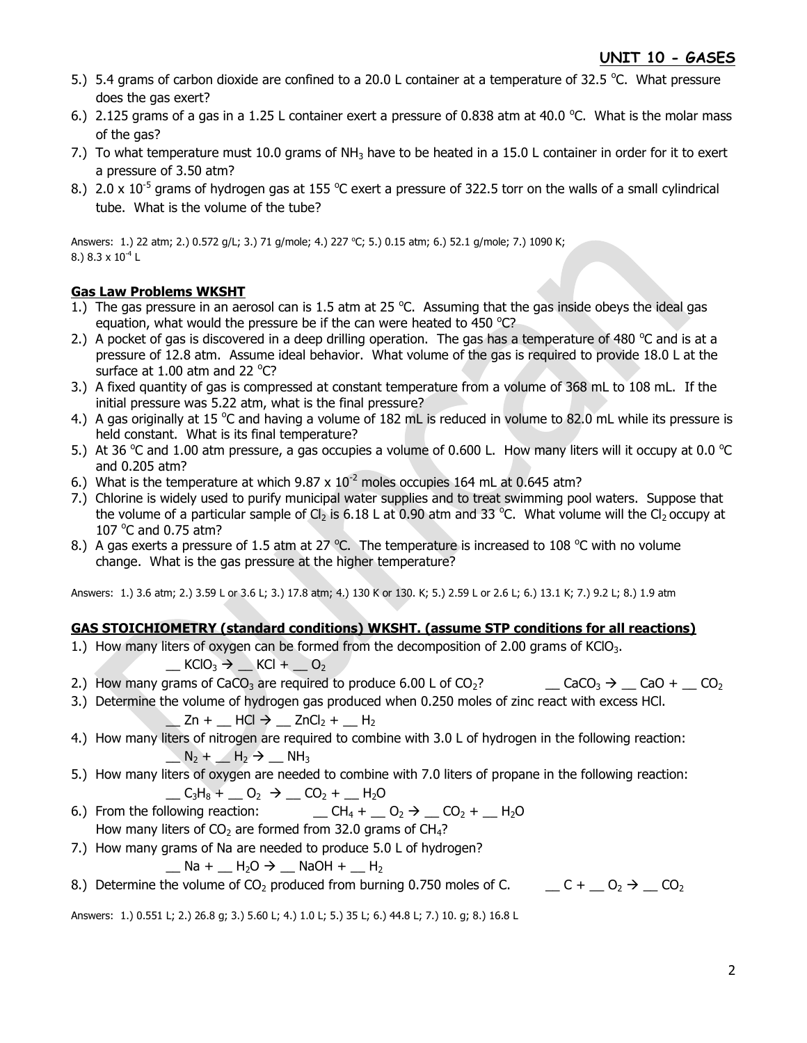- 5.) 5.4 grams of carbon dioxide are confined to a 20.0 L container at a temperature of 32.5 °C. What pressure does the gas exert?
- 6.) 2.125 grams of a gas in a 1.25 L container exert a pressure of 0.838 atm at 40.0 °C. What is the molar mass of the gas?
- 7.) To what temperature must 10.0 grams of NH<sub>3</sub> have to be heated in a 15.0 L container in order for it to exert a pressure of 3.50 atm?
- 8.) 2.0 x 10<sup>-5</sup> grams of hydrogen gas at 155 °C exert a pressure of 322.5 torr on the walls of a small cylindrical tube. What is the volume of the tube?

Answers: 1.) 22 atm; 2.) 0.572 g/L; 3.) 71 g/mole; 4.) 227 °C; 5.) 0.15 atm; 6.) 52.1 g/mole; 7.) 1090 K; 8.) 8.3 x  $10^{-4}$  L

## **Gas Law Problems WKSHT**

- 1.) The gas pressure in an aerosol can is 1.5 atm at 25  $^{\circ}$ C. Assuming that the gas inside obeys the ideal gas equation, what would the pressure be if the can were heated to 450  $^{\circ}$ C?
- 2.) A pocket of gas is discovered in a deep drilling operation. The gas has a temperature of 480  $^{\circ}$ C and is at a pressure of 12.8 atm. Assume ideal behavior. What volume of the gas is required to provide 18.0 L at the surface at  $1.00$  atm and 22 °C?
- 3.) A fixed quantity of gas is compressed at constant temperature from a volume of 368 mL to 108 mL. If the initial pressure was 5.22 atm, what is the final pressure?
- 4.) A gas originally at 15 °C and having a volume of 182 mL is reduced in volume to 82.0 mL while its pressure is held constant. What is its final temperature?
- 5.) At 36 °C and 1.00 atm pressure, a gas occupies a volume of 0.600 L. How many liters will it occupy at 0.0 °C and 0.205 atm?
- 6.) What is the temperature at which  $9.87 \times 10^{-2}$  moles occupies 164 mL at 0.645 atm?
- 7.) Chlorine is widely used to purify municipal water supplies and to treat swimming pool waters. Suppose that the volume of a particular sample of Cl<sub>2</sub> is 6.18 L at 0.90 atm and 33 °C. What volume will the Cl<sub>2</sub> occupy at 107 $\degree$ C and 0.75 atm?
- 8.) A gas exerts a pressure of 1.5 atm at 27 °C. The temperature is increased to 108 °C with no volume change. What is the gas pressure at the higher temperature?

Answers: 1.) 3.6 atm; 2.) 3.59 L or 3.6 L; 3.) 17.8 atm; 4.) 130 K or 130. K; 5.) 2.59 L or 2.6 L; 6.) 13.1 K; 7.) 9.2 L; 8.) 1.9 atm

#### **GAS STOICHIOMETRY (standard conditions) WKSHT. (assume STP conditions for all reactions)**

1.) How many liters of oxygen can be formed from the decomposition of 2.00 grams of KClO<sub>3</sub>.

 $\_$  KClO<sub>3</sub>  $\rightarrow$   $\_$  KCl +  $\_$  O<sub>2</sub>

- 2.) How many grams of CaCO<sub>3</sub> are required to produce 6.00 L of CO<sub>2</sub>?  $\qquad \qquad$  CaCO<sub>3</sub>  $\rightarrow$  CaO +  $\qquad$  CO<sub>2</sub>
- 3.) Determine the volume of hydrogen gas produced when 0.250 moles of zinc react with excess HCl.  $\_$  Zn +  $\_$  HCl  $\rightarrow$   $\_$  ZnCl<sub>2</sub> +  $\_$  H<sub>2</sub>
- 4.) How many liters of nitrogen are required to combine with 3.0 L of hydrogen in the following reaction:  $N_2$  +  $N_2$  +  $N_3$
- 5.) How many liters of oxygen are needed to combine with 7.0 liters of propane in the following reaction:  $C_3H_8 + C_2 \rightarrow C_2 + C_1H_2O$
- 6.) From the following reaction:  $\qquad \qquad \qquad \qquad \qquad \qquad \text{CH}_4 + \qquad \text{O}_2 \rightarrow \qquad \text{CO}_2 + \qquad \text{H}_2\text{O}$ How many liters of  $CO<sub>2</sub>$  are formed from 32.0 grams of CH<sub>4</sub>?
- 7.) How many grams of Na are needed to produce 5.0 L of hydrogen?

 $\_$  Na +  $\_$  H<sub>2</sub>O  $\rightarrow$   $\_$  NaOH +  $\_$  H<sub>2</sub>

8.) Determine the volume of CO<sub>2</sub> produced from burning 0.750 moles of C.  $C_1 + C_2 + C_3$ 

Answers: 1.) 0.551 L; 2.) 26.8 g; 3.) 5.60 L; 4.) 1.0 L; 5.) 35 L; 6.) 44.8 L; 7.) 10. g; 8.) 16.8 L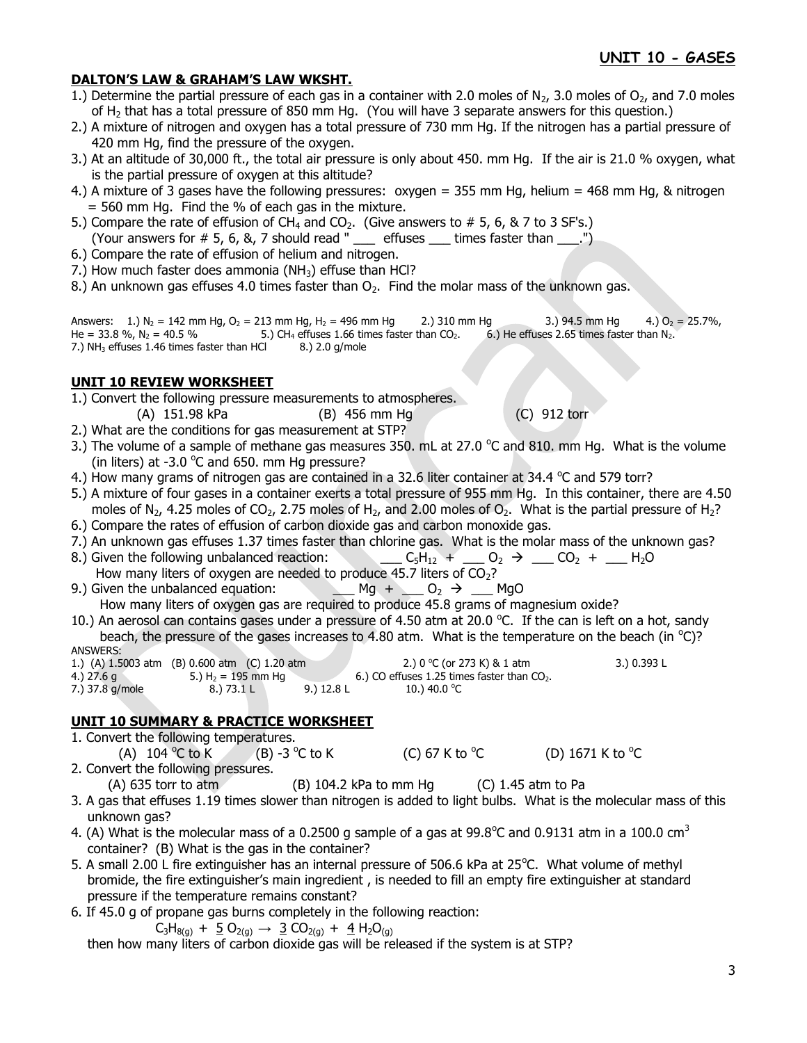#### **DALTON'S LAW & GRAHAM'S LAW WKSHT.**

- 1.) Determine the partial pressure of each gas in a container with 2.0 moles of  $N_2$ , 3.0 moles of  $O_2$ , and 7.0 moles of H<sup>2</sup> that has a total pressure of 850 mm Hg. (You will have 3 separate answers for this question.)
- 2.) A mixture of nitrogen and oxygen has a total pressure of 730 mm Hg. If the nitrogen has a partial pressure of 420 mm Hg, find the pressure of the oxygen.
- 3.) At an altitude of 30,000 ft., the total air pressure is only about 450. mm Hg. If the air is 21.0 % oxygen, what is the partial pressure of oxygen at this altitude?
- 4.) A mixture of 3 gases have the following pressures: oxygen = 355 mm Hg, helium = 468 mm Hg, & nitrogen = 560 mm Hg. Find the % of each gas in the mixture.
- 5.) Compare the rate of effusion of  $CH_4$  and  $CO_2$ . (Give answers to # 5, 6, & 7 to 3 SF's.) (Your answers for  $# 5, 6, 8, 7$  should read "  $\quad$  effuses  $\quad$  times faster than  $\quad \ldots$ ")
- 6.) Compare the rate of effusion of helium and nitrogen.
- 7.) How much faster does ammonia ( $NH<sub>3</sub>$ ) effuse than HCl?
- 8.) An unknown gas effuses 4.0 times faster than  $O<sub>2</sub>$ . Find the molar mass of the unknown gas.

Answers: 1.) N<sub>2</sub> = 142 mm Hg, O<sub>2</sub> = 213 mm Hg, H<sub>2</sub> = 496 mm Hg 2.) 310 mm Hg 3.) 94.5 mm Hg 4.) O<sub>2</sub> = 25.7%, He = 33.8 %,  $N_2$  = 40.5 % 5.) CH<sub>4</sub> effuses 1.66 times faster than CO<sub>2</sub>. 6.) He effuses 2.65 times faster than N<sub>2</sub>. 7.)  $NH<sub>3</sub>$  effuses 1.46 times faster than HCl  $8.$ ) 2.0 g/mole

#### **UNIT 10 REVIEW WORKSHEET**

- 1.) Convert the following pressure measurements to atmospheres.
	- (A) 151.98 kPa (B) 456 mm Hg (C) 912 torr
- 2.) What are the conditions for gas measurement at STP?
- 3.) The volume of a sample of methane gas measures 350. mL at 27.0  $\degree$ C and 810. mm Hg. What is the volume (in liters) at -3.0  $^{\circ}$ C and 650. mm Hg pressure?
- 4.) How many grams of nitrogen gas are contained in a 32.6 liter container at 34.4  $^{\circ}$ C and 579 torr?
- 5.) A mixture of four gases in a container exerts a total pressure of 955 mm Hg. In this container, there are 4.50 moles of N<sub>2</sub>, 4.25 moles of CO<sub>2</sub>, 2.75 moles of H<sub>2</sub>, and 2.00 moles of O<sub>2</sub>. What is the partial pressure of H<sub>2</sub>?
- 6.) Compare the rates of effusion of carbon dioxide gas and carbon monoxide gas.
- 7.) An unknown gas effuses 1.37 times faster than chlorine gas. What is the molar mass of the unknown gas?
- 8.) Given the following unbalanced reaction: \_\_\_\_  $C_5H_{12}$  + \_\_\_  $O_2$   $\rightarrow$  \_\_  $CO_2$  + \_\_\_ H<sub>2</sub>O How many liters of oxygen are needed to produce 45.7 liters of  $CO<sub>2</sub>$ ?
- 9.) Given the unbalanced equation:  $\Box$  Mg +  $\Box$  O<sub>2</sub>  $\rightarrow$   $\Box$  MgO How many liters of oxygen gas are required to produce 45.8 grams of magnesium oxide?
- 10.) An aerosol can contains gases under a pressure of 4.50 atm at 20.0 °C. If the can is left on a hot, sandy beach, the pressure of the gases increases to 4.80 atm. What is the temperature on the beach (in  $^{\circ}$ C)? ANSWERS:

1.) (A) 1.5003 atm (B) 0.600 atm (C) 1.20 atm 2.2.) 0 °C (or 273 K) & 1 atm 3.) 0.393 L 4.) 27.6 g 5.) H<sub>2</sub> = 195 mm Hg 6.) CO effuses 1.25 times faster than CO<sub>2</sub>.<br>
7.) 37.8 g/mole 8.) 73.1 L 9.) 12.8 L 10.) 40.0 °C 7.) 37.8 g/mole 8.) 73.1 L 9.) 12.8 L 10.) 40.0 °C

## **UNIT 10 SUMMARY & PRACTICE WORKSHEET**

- 1. Convert the following temperatures. (A)  $104^{\circ}$ C to K  $(B)$  -3  $^{\circ}$ C to K (C) 67 K to  $^{\circ}$ C C (D)  $1671$  K to  $^{\circ}$ C 2. Convert the following pressures.
	- (A) 635 torr to atm (B) 104.2 kPa to mm Hg (C) 1.45 atm to Pa
- 3. A gas that effuses 1.19 times slower than nitrogen is added to light bulbs. What is the molecular mass of this unknown gas?
- 4. (A) What is the molecular mass of a 0.2500 g sample of a gas at 99.8°C and 0.9131 atm in a 100.0 cm<sup>3</sup> container? (B) What is the gas in the container?
- 5. A small 2.00 L fire extinguisher has an internal pressure of 506.6 kPa at 25°C. What volume of methyl bromide, the fire extinguisher's main ingredient , is needed to fill an empty fire extinguisher at standard pressure if the temperature remains constant?
- 6. If 45.0 g of propane gas burns completely in the following reaction:

$$
C_3H_{8(g)} + \underline{5} O_{2(g)} \rightarrow \underline{3} CO_{2(g)} + \underline{4} H_2O_{(g)}
$$

then how many liters of carbon dioxide gas will be released if the system is at STP?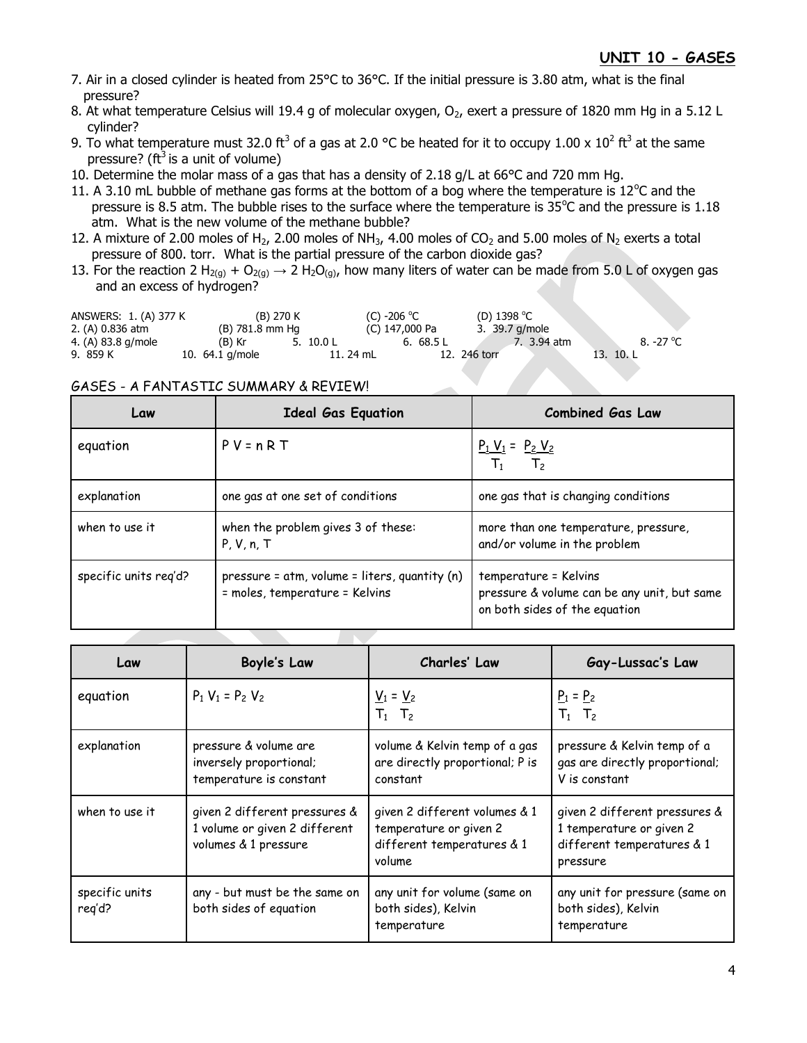- 7. Air in a closed cylinder is heated from 25°C to 36°C. If the initial pressure is 3.80 atm, what is the final pressure?
- 8. At what temperature Celsius will 19.4 g of molecular oxygen,  $O_2$ , exert a pressure of 1820 mm Hg in a 5.12 L cylinder?
- 9. To what temperature must 32.0 ft<sup>3</sup> of a gas at 2.0 °C be heated for it to occupy 1.00 x 10<sup>2</sup> ft<sup>3</sup> at the same pressure? ( $ft^3$  is a unit of volume)
- 10. Determine the molar mass of a gas that has a density of 2.18 g/L at 66°C and 720 mm Hg.
- 11. A 3.10 mL bubble of methane gas forms at the bottom of a bog where the temperature is  $12^{\circ}$ C and the pressure is 8.5 atm. The bubble rises to the surface where the temperature is  $35^{\circ}$ C and the pressure is 1.18 atm. What is the new volume of the methane bubble?
- 12. A mixture of 2.00 moles of H<sub>2</sub>, 2.00 moles of NH<sub>3</sub>, 4.00 moles of CO<sub>2</sub> and 5.00 moles of N<sub>2</sub> exerts a total pressure of 800. torr. What is the partial pressure of the carbon dioxide gas?
- 13. For the reaction 2 H<sub>2(g)</sub> + O<sub>2(g)</sub>  $\rightarrow$  2 H<sub>2</sub>O<sub>(g)</sub>, how many liters of water can be made from 5.0 L of oxygen gas and an excess of hydrogen?

| ANSWERS: 1. (A) 377 K |                   | (B) 270 K |             |           | (C) -206 $^{\circ}$ C |           |              | (D) 1398 °C    |           |
|-----------------------|-------------------|-----------|-------------|-----------|-----------------------|-----------|--------------|----------------|-----------|
| 2. (A) 0.836 atm      | (B) 781.8 mm Ha   |           |             |           | (C) 147,000 Pa        |           |              | 3. 39.7 g/mole |           |
| 4. (A) 83.8 g/mole    | (B) Kr            |           | 5. $10.0 L$ |           |                       | 6. 68.5 L |              | 7. 3.94 atm    | 8. -27 °C |
| 9. 859 K              | 10. $64.1$ g/mole |           |             | 11. 24 mL |                       |           | 12. 246 torr |                | 13. 10.L  |

#### GASES - A FANTASTIC SUMMARY & REVIEW!

| Law                   | <b>Ideal Gas Equation</b>                                                       | <b>Combined Gas Law</b>                                                                               |  |  |
|-----------------------|---------------------------------------------------------------------------------|-------------------------------------------------------------------------------------------------------|--|--|
| equation              | $P V = n R T$                                                                   | $\frac{P_1 V_1}{T} = \frac{P_2 V_2}{T}$<br>T <sub>2</sub>                                             |  |  |
| explanation           | one gas at one set of conditions                                                | one gas that is changing conditions                                                                   |  |  |
| when to use it        | when the problem gives 3 of these:<br>P, V, n, T                                | more than one temperature, pressure,<br>and/or volume in the problem                                  |  |  |
| specific units req'd? | pressure = atm, volume = liters, quantity (n)<br>= moles, temperature = Kelvins | temperature = Kelvins<br>pressure & volume can be any unit, but same<br>on both sides of the equation |  |  |

| Law                      | <b>Boyle's Law</b>                                                                     | Charles' Law                                                                                    | Gay-Lussac's Law                                                                                    |  |  |
|--------------------------|----------------------------------------------------------------------------------------|-------------------------------------------------------------------------------------------------|-----------------------------------------------------------------------------------------------------|--|--|
| equation                 | $P_1 V_1 = P_2 V_2$                                                                    | $V_1 = V_2$<br>$T_1$ $T_2$                                                                      | $P_1 = P_2$<br>$T_1$ $T_2$                                                                          |  |  |
| explanation              | pressure & volume are<br>inversely proportional;<br>temperature is constant            | volume & Kelvin temp of a gas<br>are directly proportional; P is<br>constant                    | pressure & Kelvin temp of a<br>gas are directly proportional;<br>V is constant                      |  |  |
| when to use it           | given 2 different pressures &<br>1 volume or given 2 different<br>volumes & 1 pressure | given 2 different volumes & 1<br>temperature or given 2<br>different temperatures & 1<br>volume | given 2 different pressures &<br>1 temperature or given 2<br>different temperatures & 1<br>pressure |  |  |
| specific units<br>reg'd? | any - but must be the same on<br>both sides of equation                                | any unit for volume (same on<br>both sides), Kelvin<br>temperature                              | any unit for pressure (same on<br>both sides), Kelvin<br>temperature                                |  |  |